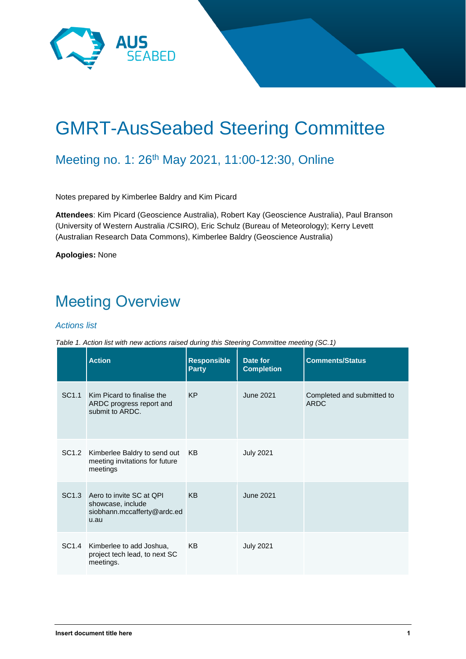

# GMRT-AusSeabed Steering Committee

#### Meeting no. 1: 26<sup>th</sup> May 2021, 11:00-12:30, Online

Notes prepared by Kimberlee Baldry and Kim Picard

**Attendees**: Kim Picard (Geoscience Australia), Robert Kay (Geoscience Australia), Paul Branson (University of Western Australia /CSIRO), Eric Schulz (Bureau of Meteorology); Kerry Levett (Australian Research Data Commons), Kimberlee Baldry (Geoscience Australia)

**Apologies:** None

## Meeting Overview

#### *Actions list*

*Table 1. Action list with new actions raised during this Steering Committee meeting (SC.1)*

|                   | <b>Action</b>                                                                              | <b>Responsible</b><br><b>Party</b> | Date for<br><b>Completion</b> | <b>Comments/Status</b>                    |
|-------------------|--------------------------------------------------------------------------------------------|------------------------------------|-------------------------------|-------------------------------------------|
| SC <sub>1.1</sub> | Kim Picard to finalise the<br>ARDC progress report and<br>submit to ARDC.                  | <b>KP</b>                          | June 2021                     | Completed and submitted to<br><b>ARDC</b> |
|                   | SC1.2 Kimberlee Baldry to send out<br>meeting invitations for future<br>meetings           | KB.                                | <b>July 2021</b>              |                                           |
|                   | SC1.3 Aero to invite SC at QPI<br>showcase, include<br>siobhann.mccafferty@ardc.ed<br>u.au | <b>KB</b>                          | June 2021                     |                                           |
| SC1.4             | Kimberlee to add Joshua,<br>project tech lead, to next SC<br>meetings.                     | <b>KB</b>                          | <b>July 2021</b>              |                                           |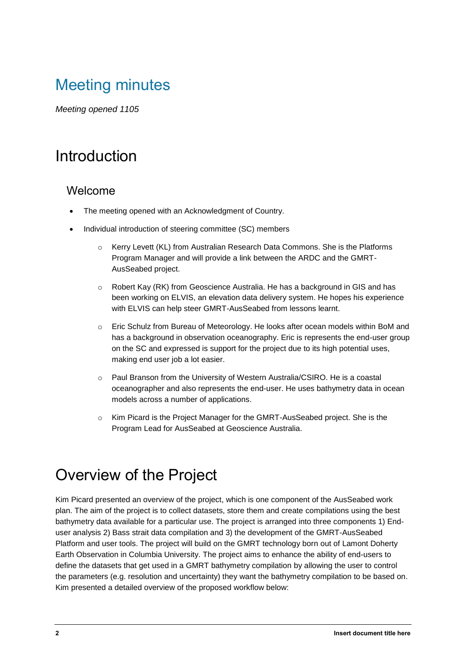### Meeting minutes

*Meeting opened 1105*

#### Introduction

#### Welcome

- The meeting opened with an Acknowledgment of Country.
- Individual introduction of steering committee (SC) members
	- o Kerry Levett (KL) from Australian Research Data Commons. She is the Platforms Program Manager and will provide a link between the ARDC and the GMRT-AusSeabed project.
	- o Robert Kay (RK) from Geoscience Australia. He has a background in GIS and has been working on ELVIS, an elevation data delivery system. He hopes his experience with ELVIS can help steer GMRT-AusSeabed from lessons learnt.
	- o Eric Schulz from Bureau of Meteorology. He looks after ocean models within BoM and has a background in observation oceanography. Eric is represents the end-user group on the SC and expressed is support for the project due to its high potential uses, making end user job a lot easier.
	- o Paul Branson from the University of Western Australia/CSIRO. He is a coastal oceanographer and also represents the end-user. He uses bathymetry data in ocean models across a number of applications.
	- $\circ$  Kim Picard is the Project Manager for the GMRT-AusSeabed project. She is the Program Lead for AusSeabed at Geoscience Australia.

#### Overview of the Project

Kim Picard presented an overview of the project, which is one component of the AusSeabed work plan. The aim of the project is to collect datasets, store them and create compilations using the best bathymetry data available for a particular use. The project is arranged into three components 1) Enduser analysis 2) Bass strait data compilation and 3) the development of the GMRT-AusSeabed Platform and user tools. The project will build on the GMRT technology born out of Lamont Doherty Earth Observation in Columbia University. The project aims to enhance the ability of end-users to define the datasets that get used in a GMRT bathymetry compilation by allowing the user to control the parameters (e.g. resolution and uncertainty) they want the bathymetry compilation to be based on. Kim presented a detailed overview of the proposed workflow below: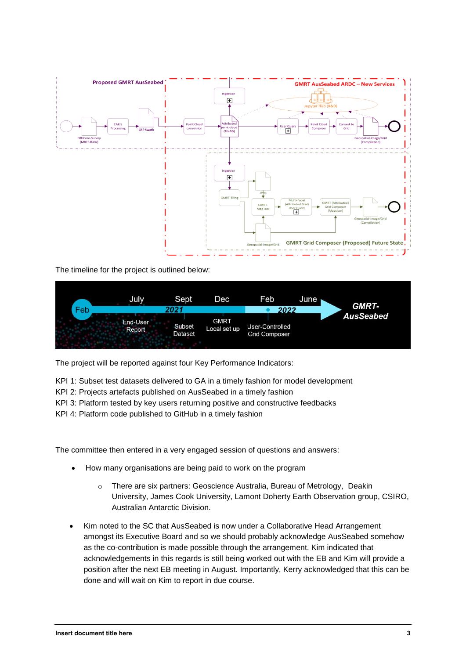

The timeline for the project is outlined below:



The project will be reported against four Key Performance Indicators:

KPI 1: Subset test datasets delivered to GA in a timely fashion for model development

- KPI 2: Projects artefacts published on AusSeabed in a timely fashion
- KPI 3: Platform tested by key users returning positive and constructive feedbacks
- KPI 4: Platform code published to GitHub in a timely fashion

The committee then entered in a very engaged session of questions and answers:

- How many organisations are being paid to work on the program
	- o There are six partners: Geoscience Australia, Bureau of Metrology, Deakin University, James Cook University, Lamont Doherty Earth Observation group, CSIRO, Australian Antarctic Division.
- Kim noted to the SC that AusSeabed is now under a Collaborative Head Arrangement amongst its Executive Board and so we should probably acknowledge AusSeabed somehow as the co-contribution is made possible through the arrangement. Kim indicated that acknowledgements in this regards is still being worked out with the EB and Kim will provide a position after the next EB meeting in August. Importantly, Kerry acknowledged that this can be done and will wait on Kim to report in due course.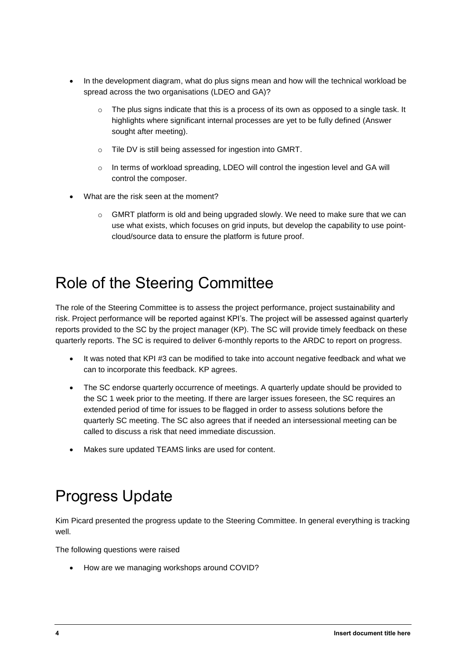- In the development diagram, what do plus signs mean and how will the technical workload be spread across the two organisations (LDEO and GA)?
	- $\circ$  The plus signs indicate that this is a process of its own as opposed to a single task. It highlights where significant internal processes are yet to be fully defined (Answer sought after meeting).
	- o Tile DV is still being assessed for ingestion into GMRT.
	- o In terms of workload spreading, LDEO will control the ingestion level and GA will control the composer.
- What are the risk seen at the moment?
	- $\circ$  GMRT platform is old and being upgraded slowly. We need to make sure that we can use what exists, which focuses on grid inputs, but develop the capability to use pointcloud/source data to ensure the platform is future proof.

#### Role of the Steering Committee

The role of the Steering Committee is to assess the project performance, project sustainability and risk. Project performance will be reported against KPI's. The project will be assessed against quarterly reports provided to the SC by the project manager (KP). The SC will provide timely feedback on these quarterly reports. The SC is required to deliver 6-monthly reports to the ARDC to report on progress.

- It was noted that KPI #3 can be modified to take into account negative feedback and what we can to incorporate this feedback. KP agrees.
- The SC endorse quarterly occurrence of meetings. A quarterly update should be provided to the SC 1 week prior to the meeting. If there are larger issues foreseen, the SC requires an extended period of time for issues to be flagged in order to assess solutions before the quarterly SC meeting. The SC also agrees that if needed an intersessional meeting can be called to discuss a risk that need immediate discussion.
- Makes sure updated TEAMS links are used for content.

## Progress Update

Kim Picard presented the progress update to the Steering Committee. In general everything is tracking well.

The following questions were raised

• How are we managing workshops around COVID?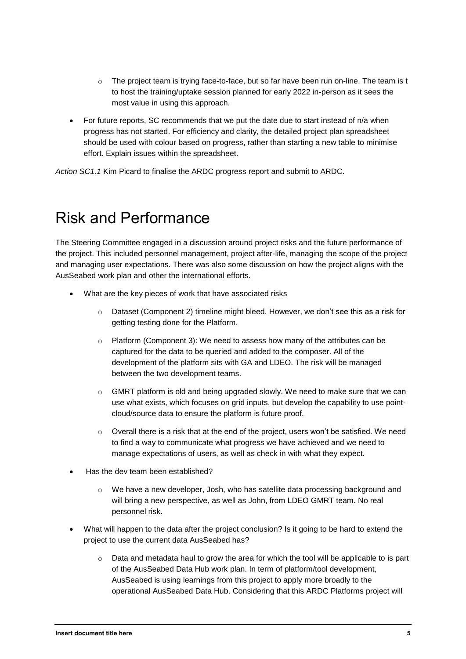- $\circ$  The project team is trying face-to-face, but so far have been run on-line. The team is t to host the training/uptake session planned for early 2022 in-person as it sees the most value in using this approach.
- For future reports, SC recommends that we put the date due to start instead of n/a when progress has not started. For efficiency and clarity, the detailed project plan spreadsheet should be used with colour based on progress, rather than starting a new table to minimise effort. Explain issues within the spreadsheet.

*Action SC1.1* Kim Picard to finalise the ARDC progress report and submit to ARDC.

#### Risk and Performance

The Steering Committee engaged in a discussion around project risks and the future performance of the project. This included personnel management, project after-life, managing the scope of the project and managing user expectations. There was also some discussion on how the project aligns with the AusSeabed work plan and other the international efforts.

- What are the key pieces of work that have associated risks
	- $\circ$  Dataset (Component 2) timeline might bleed. However, we don't see this as a risk for getting testing done for the Platform.
	- $\circ$  Platform (Component 3): We need to assess how many of the attributes can be captured for the data to be queried and added to the composer. All of the development of the platform sits with GA and LDEO. The risk will be managed between the two development teams.
	- $\circ$  GMRT platform is old and being upgraded slowly. We need to make sure that we can use what exists, which focuses on grid inputs, but develop the capability to use pointcloud/source data to ensure the platform is future proof.
	- $\circ$  Overall there is a risk that at the end of the project, users won't be satisfied. We need to find a way to communicate what progress we have achieved and we need to manage expectations of users, as well as check in with what they expect.
- Has the dev team been established?
	- $\circ$  We have a new developer, Josh, who has satellite data processing background and will bring a new perspective, as well as John, from LDEO GMRT team. No real personnel risk.
- What will happen to the data after the project conclusion? Is it going to be hard to extend the project to use the current data AusSeabed has?
	- $\circ$  Data and metadata haul to grow the area for which the tool will be applicable to is part of the AusSeabed Data Hub work plan. In term of platform/tool development, AusSeabed is using learnings from this project to apply more broadly to the operational AusSeabed Data Hub. Considering that this ARDC Platforms project will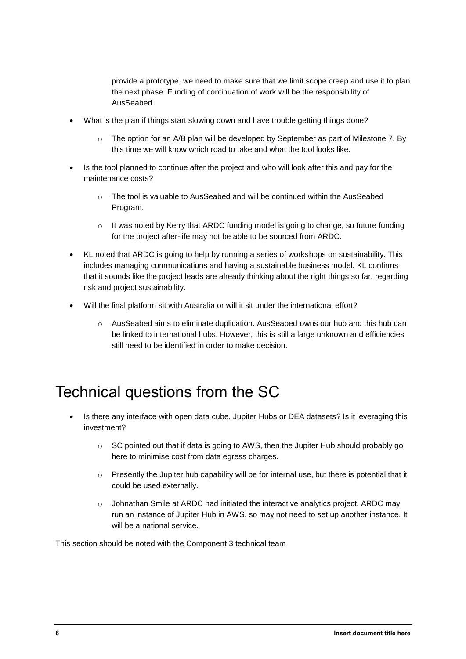provide a prototype, we need to make sure that we limit scope creep and use it to plan the next phase. Funding of continuation of work will be the responsibility of AusSeabed.

- What is the plan if things start slowing down and have trouble getting things done?
	- $\circ$  The option for an A/B plan will be developed by September as part of Milestone 7. By this time we will know which road to take and what the tool looks like.
- Is the tool planned to continue after the project and who will look after this and pay for the maintenance costs?
	- o The tool is valuable to AusSeabed and will be continued within the AusSeabed Program.
	- $\circ$  It was noted by Kerry that ARDC funding model is going to change, so future funding for the project after-life may not be able to be sourced from ARDC.
- KL noted that ARDC is going to help by running a series of workshops on sustainability. This includes managing communications and having a sustainable business model. KL confirms that it sounds like the project leads are already thinking about the right things so far, regarding risk and project sustainability.
- Will the final platform sit with Australia or will it sit under the international effort?
	- o AusSeabed aims to eliminate duplication. AusSeabed owns our hub and this hub can be linked to international hubs. However, this is still a large unknown and efficiencies still need to be identified in order to make decision.

#### Technical questions from the SC

- Is there any interface with open data cube, Jupiter Hubs or DEA datasets? Is it leveraging this investment?
	- $\circ$  SC pointed out that if data is going to AWS, then the Jupiter Hub should probably go here to minimise cost from data egress charges.
	- $\circ$  Presently the Jupiter hub capability will be for internal use, but there is potential that it could be used externally.
	- $\circ$  Johnathan Smile at ARDC had initiated the interactive analytics project. ARDC may run an instance of Jupiter Hub in AWS, so may not need to set up another instance. It will be a national service.

This section should be noted with the Component 3 technical team